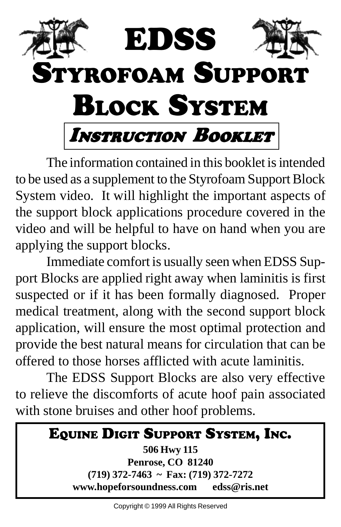

The information contained in this booklet is intended to be used as a supplement to the Styrofoam Support Block System video. It will highlight the important aspects of the support block applications procedure covered in the video and will be helpful to have on hand when you are applying the support blocks.

Immediate comfort is usually seen when EDSS Support Blocks are applied right away when laminitis is first suspected or if it has been formally diagnosed. Proper medical treatment, along with the second support block application, will ensure the most optimal protection and provide the best natural means for circulation that can be offered to those horses afflicted with acute laminitis.

The EDSS Support Blocks are also very effective to relieve the discomforts of acute hoof pain associated with stone bruises and other hoof problems.

| EQUINE DIGIT SUPPORT SYSTEM, INC.        |  |
|------------------------------------------|--|
| 506 Hwy 115                              |  |
| <b>Penrose, CO 81240</b>                 |  |
| $(719)$ 372-7463 ~ Fax: (719) 372-7272   |  |
| www.hopeforsoundness.com<br>edss@ris.net |  |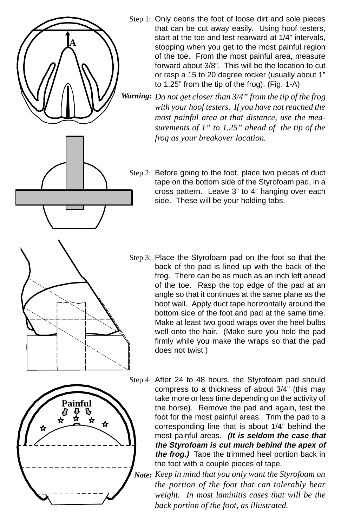

- Step 3: Place the Styrofoam pad on the foot so that the back of the pad is lined up with the back of the frog. There can be as much as an inch left ahead of the toe. Rasp the top edge of the pad at an angle so that it continues at the same plane as the hoof wall. Apply duct tape horizontally around the bottom side of the foot and pad at the same time. Make at least two good wraps over the heel bulbs well onto the hair. (Make sure you hold the pad firmly while you make the wraps so that the pad does not twist.)
- Step 4: After 24 to 48 hours, the Styrofoam pad should compress to a thickness of about 3/4" (this may take more or less time depending on the activity of the horse). Remove the pad and again, test the foot for the most painful areas. Trim the pad to a corresponding line that is about 1/4" behind the most painful areas. **(It is seldom the case that the Styrofoam is cut much behind the apex of the frog.)** Tape the trimmed heel portion back in the foot with a couple pieces of tape.
	- *Keep in mind that you only want the Styrofoam on Note:the portion of the foot that can tolerably bear weight. In most laminitis cases that will be the back portion of the foot, as illustrated.*

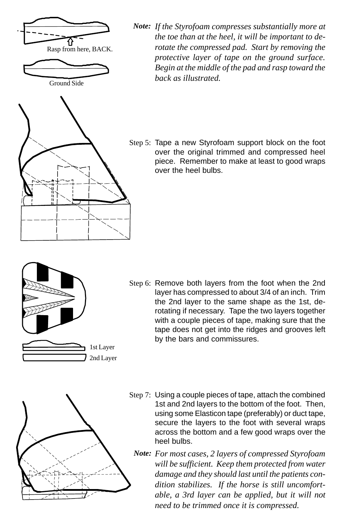

Ground Side



*If the Styrofoam compresses substantially more at Note: the toe than at the heel, it will be important to derotate the compressed pad. Start by removing the protective layer of tape on the ground surface. Begin at the middle of the pad and rasp toward the back as illustrated.*

Step 5: Tape a new Styrofoam support block on the foot over the original trimmed and compressed heel piece. Remember to make at least to good wraps over the heel bulbs.

- 1st Layer 2nd Layer
- Step 6: Remove both layers from the foot when the 2nd layer has compressed to about 3/4 of an inch. Trim the 2nd layer to the same shape as the 1st, derotating if necessary. Tape the two layers together with a couple pieces of tape, making sure that the tape does not get into the ridges and grooves left by the bars and commissures.



- Step 7: Using a couple pieces of tape, attach the combined 1st and 2nd layers to the bottom of the foot. Then, using some Elasticon tape (preferably) or duct tape, secure the layers to the foot with several wraps across the bottom and a few good wraps over the heel bulbs.
	- *For most cases, 2 layers of compressed Styrofoam Note:will be sufficient. Keep them protected from water damage and they should last until the patients condition stabilizes. If the horse is still uncomfortable, a 3rd layer can be applied, but it will not need to be trimmed once it is compressed.*